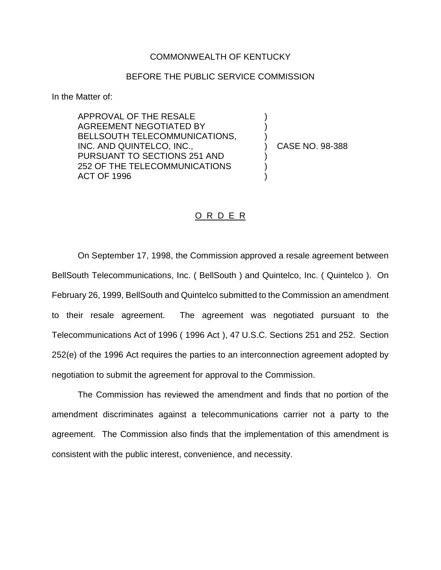## COMMONWEALTH OF KENTUCKY

## BEFORE THE PUBLIC SERVICE COMMISSION

In the Matter of:

APPROVAL OF THE RESALE AGREEMENT NEGOTIATED BY BELLSOUTH TELECOMMUNICATIONS, INC. AND QUINTELCO, INC., PURSUANT TO SECTIONS 251 AND 252 OF THE TELECOMMUNICATIONS ACT OF 1996

) CASE NO. 98-388

) ) )

) ) )

## O R D E R

On September 17, 1998, the Commission approved a resale agreement between BellSouth Telecommunications, Inc. ( BellSouth ) and Quintelco, Inc. ( Quintelco ). On February 26, 1999, BellSouth and Quintelco submitted to the Commission an amendment to their resale agreement. The agreement was negotiated pursuant to the Telecommunications Act of 1996 ( 1996 Act ), 47 U.S.C. Sections 251 and 252. Section 252(e) of the 1996 Act requires the parties to an interconnection agreement adopted by negotiation to submit the agreement for approval to the Commission.

The Commission has reviewed the amendment and finds that no portion of the amendment discriminates against a telecommunications carrier not a party to the agreement. The Commission also finds that the implementation of this amendment is consistent with the public interest, convenience, and necessity.